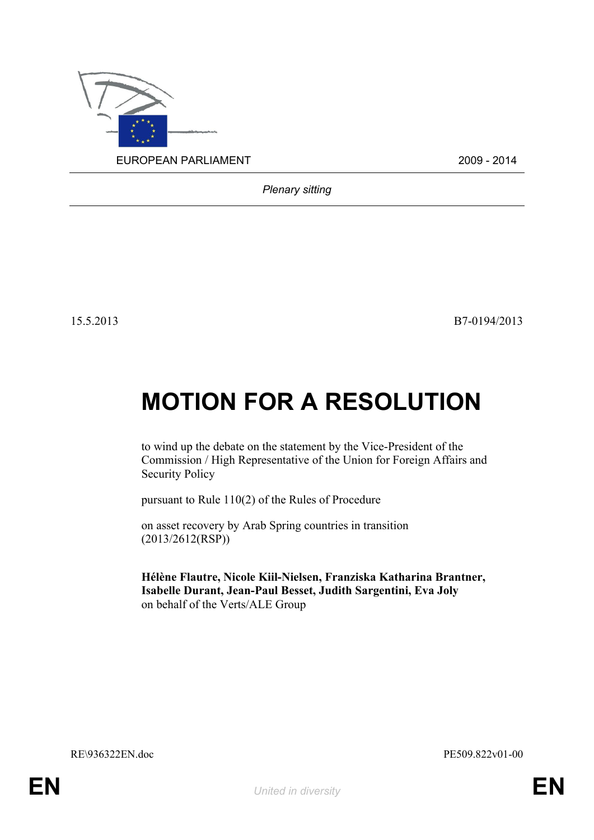

*Plenary sitting*

15.5.2013 B7-0194/2013

## **MOTION FOR A RESOLUTION**

to wind up the debate on the statement by the Vice-President of the Commission / High Representative of the Union for Foreign Affairs and Security Policy

pursuant to Rule 110(2) of the Rules of Procedure

on asset recovery by Arab Spring countries in transition (2013/2612(RSP))

<span id="page-0-1"></span><span id="page-0-0"></span>**Hélène Flautre, Nicole Kiil-Nielsen, Franziska Katharina Brantner, Isabelle Durant, Jean-Paul Besset, Judith Sargentini, Eva Joly** on behalf of the Verts/ALE Group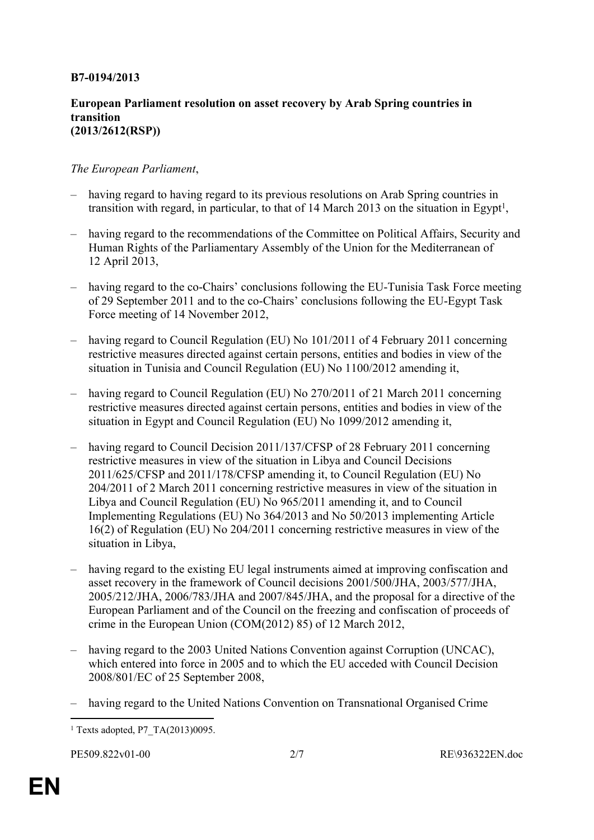## **B7-0194/2013**

## **European Parliament resolution on asset recovery by Arab Spring countries in transition (2013/2612(RSP))**

## *The European Parliament*,

- having regard to having regard to its previous resolutions on Arab Spring countries in transition with regard, in particular, to that of 14 March 2013 on the situation in Egypt<sup>1</sup>,
- having regard to the recommendations of the Committee on Political Affairs, Security and Human Rights of the Parliamentary Assembly of the Union for the Mediterranean of 12 April 2013,
- having regard to the co-Chairs' conclusions following the EU-Tunisia Task Force meeting of 29 September 2011 and to the co-Chairs' conclusions following the EU-Egypt Task Force meeting of 14 November 2012,
- having regard to Council Regulation (EU) No 101/2011 of 4 February 2011 concerning restrictive measures directed against certain persons, entities and bodies in view of the situation in Tunisia and Council Regulation (EU) No 1100/2012 amending it,
- having regard to Council Regulation (EU) No 270/2011 of 21 March 2011 concerning restrictive measures directed against certain persons, entities and bodies in view of the situation in Egypt and Council Regulation (EU) No 1099/2012 amending it,
- having regard to Council Decision 2011/137/CFSP of 28 February 2011 concerning restrictive measures in view of the situation in Libya and Council Decisions 2011/625/CFSP and 2011/178/CFSP amending it, to Council Regulation (EU) No 204/2011 of 2 March 2011 concerning restrictive measures in view of the situation in Libya and Council Regulation (EU) No 965/2011 amending it, and to Council Implementing Regulations (EU) No 364/2013 and No 50/2013 implementing Article 16(2) of Regulation (EU) No 204/2011 concerning restrictive measures in view of the situation in Libya,
- having regard to the existing EU legal instruments aimed at improving confiscation and asset recovery in the framework of Council decisions 2001/500/JHA, 2003/577/JHA, 2005/212/JHA, 2006/783/JHA and 2007/845/JHA, and the proposal for a directive of the European Parliament and of the Council on the freezing and confiscation of proceeds of crime in the European Union (COM(2012) 85) of 12 March 2012,
- having regard to the 2003 United Nations Convention against Corruption (UNCAC), which entered into force in 2005 and to which the EU acceded with Council Decision 2008/801/EC of 25 September 2008,
- having regard to the United Nations Convention on Transnational Organised Crime

<sup>1</sup> Texts adopted, P7\_TA(2013)0095.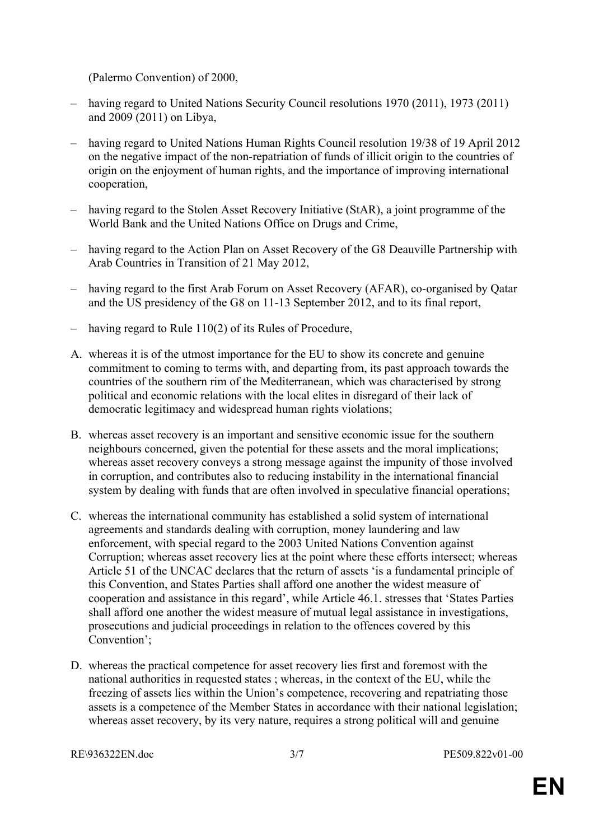(Palermo Convention) of 2000,

- having regard to United Nations Security Council resolutions 1970 (2011), 1973 (2011) and 2009 (2011) on Libya,
- having regard to United Nations Human Rights Council resolution 19/38 of 19 April 2012 on the negative impact of the non-repatriation of funds of illicit origin to the countries of origin on the enjoyment of human rights, and the importance of improving international cooperation,
- having regard to the Stolen Asset Recovery Initiative (StAR), a joint programme of the World Bank and the United Nations Office on Drugs and Crime,
- having regard to the Action Plan on Asset Recovery of the G8 Deauville Partnership with Arab Countries in Transition of 21 May 2012,
- having regard to the first Arab Forum on Asset Recovery (AFAR), co-organised by Qatar and the US presidency of the G8 on 11-13 September 2012, and to its final report,
- having regard to Rule 110(2) of its Rules of Procedure,
- A. whereas it is of the utmost importance for the EU to show its concrete and genuine commitment to coming to terms with, and departing from, its past approach towards the countries of the southern rim of the Mediterranean, which was characterised by strong political and economic relations with the local elites in disregard of their lack of democratic legitimacy and widespread human rights violations;
- B. whereas asset recovery is an important and sensitive economic issue for the southern neighbours concerned, given the potential for these assets and the moral implications; whereas asset recovery conveys a strong message against the impunity of those involved in corruption, and contributes also to reducing instability in the international financial system by dealing with funds that are often involved in speculative financial operations;
- C. whereas the international community has established a solid system of international agreements and standards dealing with corruption, money laundering and law enforcement, with special regard to the 2003 United Nations Convention against Corruption; whereas asset recovery lies at the point where these efforts intersect; whereas Article 51 of the UNCAC declares that the return of assets 'is a fundamental principle of this Convention, and States Parties shall afford one another the widest measure of cooperation and assistance in this regard', while Article 46.1. stresses that 'States Parties shall afford one another the widest measure of mutual legal assistance in investigations, prosecutions and judicial proceedings in relation to the offences covered by this Convention'<sup>.</sup>
- D. whereas the practical competence for asset recovery lies first and foremost with the national authorities in requested states ; whereas, in the context of the EU, while the freezing of assets lies within the Union's competence, recovering and repatriating those assets is a competence of the Member States in accordance with their national legislation; whereas asset recovery, by its very nature, requires a strong political will and genuine

[RE\936322EN.doc](#page-0-1) 3/7 [PE509.822v01-00](#page-0-0)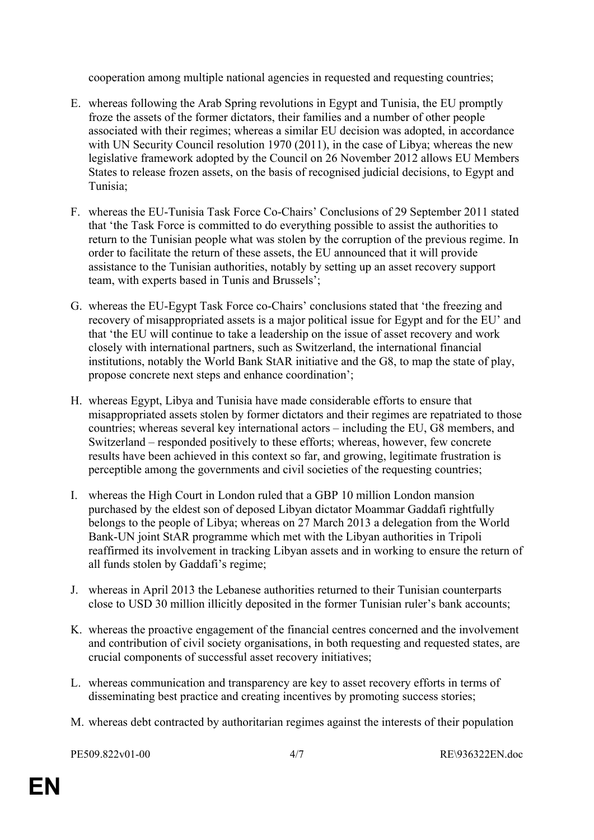cooperation among multiple national agencies in requested and requesting countries;

- E. whereas following the Arab Spring revolutions in Egypt and Tunisia, the EU promptly froze the assets of the former dictators, their families and a number of other people associated with their regimes; whereas a similar EU decision was adopted, in accordance with UN Security Council resolution 1970 (2011), in the case of Libya; whereas the new legislative framework adopted by the Council on 26 November 2012 allows EU Members States to release frozen assets, on the basis of recognised judicial decisions, to Egypt and Tunisia;
- F. whereas the EU-Tunisia Task Force Co-Chairs' Conclusions of 29 September 2011 stated that 'the Task Force is committed to do everything possible to assist the authorities to return to the Tunisian people what was stolen by the corruption of the previous regime. In order to facilitate the return of these assets, the EU announced that it will provide assistance to the Tunisian authorities, notably by setting up an asset recovery support team, with experts based in Tunis and Brussels';
- G. whereas the EU-Egypt Task Force co-Chairs' conclusions stated that 'the freezing and recovery of misappropriated assets is a major political issue for Egypt and for the EU' and that 'the EU will continue to take a leadership on the issue of asset recovery and work closely with international partners, such as Switzerland, the international financial institutions, notably the World Bank StAR initiative and the G8, to map the state of play, propose concrete next steps and enhance coordination';
- H. whereas Egypt, Libya and Tunisia have made considerable efforts to ensure that misappropriated assets stolen by former dictators and their regimes are repatriated to those countries; whereas several key international actors – including the EU, G8 members, and Switzerland – responded positively to these efforts; whereas, however, few concrete results have been achieved in this context so far, and growing, legitimate frustration is perceptible among the governments and civil societies of the requesting countries;
- I. whereas the High Court in London ruled that a GBP 10 million London mansion purchased by the eldest son of deposed Libyan dictator Moammar Gaddafi rightfully belongs to the people of Libya; whereas on 27 March 2013 a delegation from the World Bank-UN joint StAR programme which met with the Libyan authorities in Tripoli reaffirmed its involvement in tracking Libyan assets and in working to ensure the return of all funds stolen by Gaddafi's regime;
- J. whereas in April 2013 the Lebanese authorities returned to their Tunisian counterparts close to USD 30 million illicitly deposited in the former Tunisian ruler's bank accounts;
- K. whereas the proactive engagement of the financial centres concerned and the involvement and contribution of civil society organisations, in both requesting and requested states, are crucial components of successful asset recovery initiatives;
- L. whereas communication and transparency are key to asset recovery efforts in terms of disseminating best practice and creating incentives by promoting success stories;
- M. whereas debt contracted by authoritarian regimes against the interests of their population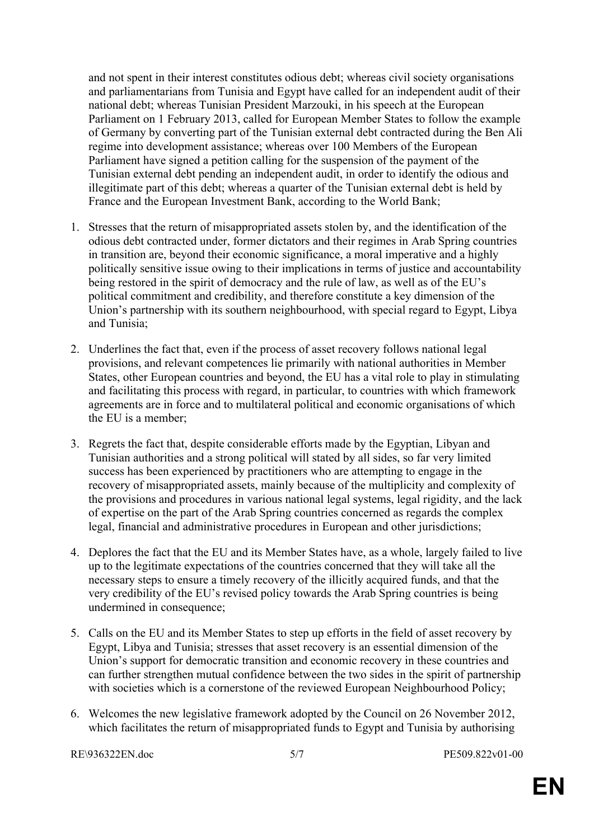and not spent in their interest constitutes odious debt; whereas civil society organisations and parliamentarians from Tunisia and Egypt have called for an independent audit of their national debt; whereas Tunisian President Marzouki, in his speech at the European Parliament on 1 February 2013, called for European Member States to follow the example of Germany by converting part of the Tunisian external debt contracted during the Ben Ali regime into development assistance; whereas over 100 Members of the European Parliament have signed a petition calling for the suspension of the payment of the Tunisian external debt pending an independent audit, in order to identify the odious and illegitimate part of this debt; whereas a quarter of the Tunisian external debt is held by France and the European Investment Bank, according to the World Bank;

- 1. Stresses that the return of misappropriated assets stolen by, and the identification of the odious debt contracted under, former dictators and their regimes in Arab Spring countries in transition are, beyond their economic significance, a moral imperative and a highly politically sensitive issue owing to their implications in terms of justice and accountability being restored in the spirit of democracy and the rule of law, as well as of the EU's political commitment and credibility, and therefore constitute a key dimension of the Union's partnership with its southern neighbourhood, with special regard to Egypt, Libya and Tunisia;
- 2. Underlines the fact that, even if the process of asset recovery follows national legal provisions, and relevant competences lie primarily with national authorities in Member States, other European countries and beyond, the EU has a vital role to play in stimulating and facilitating this process with regard, in particular, to countries with which framework agreements are in force and to multilateral political and economic organisations of which the EU is a member;
- 3. Regrets the fact that, despite considerable efforts made by the Egyptian, Libyan and Tunisian authorities and a strong political will stated by all sides, so far very limited success has been experienced by practitioners who are attempting to engage in the recovery of misappropriated assets, mainly because of the multiplicity and complexity of the provisions and procedures in various national legal systems, legal rigidity, and the lack of expertise on the part of the Arab Spring countries concerned as regards the complex legal, financial and administrative procedures in European and other jurisdictions;
- 4. Deplores the fact that the EU and its Member States have, as a whole, largely failed to live up to the legitimate expectations of the countries concerned that they will take all the necessary steps to ensure a timely recovery of the illicitly acquired funds, and that the very credibility of the EU's revised policy towards the Arab Spring countries is being undermined in consequence;
- 5. Calls on the EU and its Member States to step up efforts in the field of asset recovery by Egypt, Libya and Tunisia; stresses that asset recovery is an essential dimension of the Union's support for democratic transition and economic recovery in these countries and can further strengthen mutual confidence between the two sides in the spirit of partnership with societies which is a cornerstone of the reviewed European Neighbourhood Policy;
- 6. Welcomes the new legislative framework adopted by the Council on 26 November 2012, which facilitates the return of misappropriated funds to Egypt and Tunisia by authorising

[RE\936322EN.doc](#page-0-1) 5/7 [PE509.822v01-00](#page-0-0)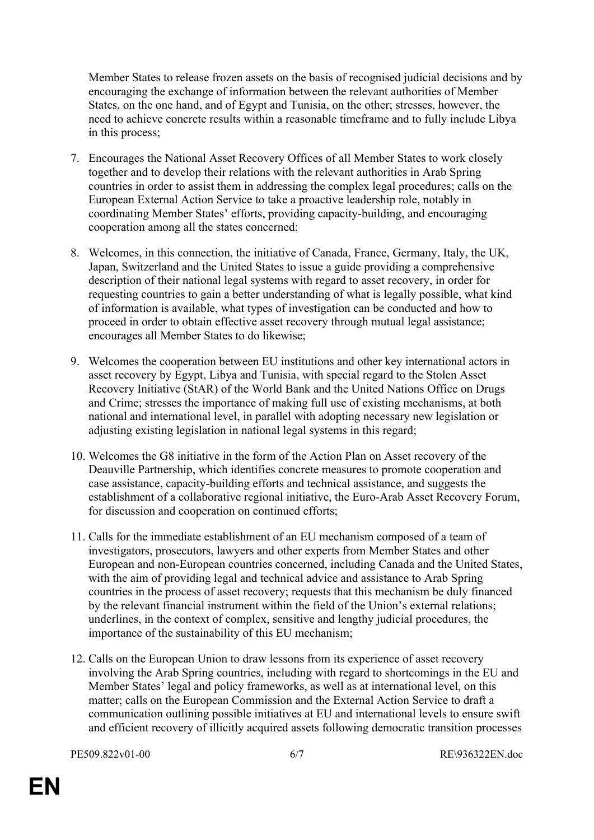Member States to release frozen assets on the basis of recognised judicial decisions and by encouraging the exchange of information between the relevant authorities of Member States, on the one hand, and of Egypt and Tunisia, on the other; stresses, however, the need to achieve concrete results within a reasonable timeframe and to fully include Libya in this process;

- 7. Encourages the National Asset Recovery Offices of all Member States to work closely together and to develop their relations with the relevant authorities in Arab Spring countries in order to assist them in addressing the complex legal procedures; calls on the European External Action Service to take a proactive leadership role, notably in coordinating Member States' efforts, providing capacity-building, and encouraging cooperation among all the states concerned;
- 8. Welcomes, in this connection, the initiative of Canada, France, Germany, Italy, the UK, Japan, Switzerland and the United States to issue a guide providing a comprehensive description of their national legal systems with regard to asset recovery, in order for requesting countries to gain a better understanding of what is legally possible, what kind of information is available, what types of investigation can be conducted and how to proceed in order to obtain effective asset recovery through mutual legal assistance; encourages all Member States to do likewise;
- 9. Welcomes the cooperation between EU institutions and other key international actors in asset recovery by Egypt, Libya and Tunisia, with special regard to the Stolen Asset Recovery Initiative (StAR) of the World Bank and the United Nations Office on Drugs and Crime; stresses the importance of making full use of existing mechanisms, at both national and international level, in parallel with adopting necessary new legislation or adjusting existing legislation in national legal systems in this regard;
- 10. Welcomes the G8 initiative in the form of the Action Plan on Asset recovery of the Deauville Partnership, which identifies concrete measures to promote cooperation and case assistance, capacity-building efforts and technical assistance, and suggests the establishment of a collaborative regional initiative, the Euro-Arab Asset Recovery Forum, for discussion and cooperation on continued efforts;
- 11. Calls for the immediate establishment of an EU mechanism composed of a team of investigators, prosecutors, lawyers and other experts from Member States and other European and non-European countries concerned, including Canada and the United States, with the aim of providing legal and technical advice and assistance to Arab Spring countries in the process of asset recovery; requests that this mechanism be duly financed by the relevant financial instrument within the field of the Union's external relations; underlines, in the context of complex, sensitive and lengthy judicial procedures, the importance of the sustainability of this EU mechanism;
- 12. Calls on the European Union to draw lessons from its experience of asset recovery involving the Arab Spring countries, including with regard to shortcomings in the EU and Member States' legal and policy frameworks, as well as at international level, on this matter; calls on the European Commission and the External Action Service to draft a communication outlining possible initiatives at EU and international levels to ensure swift and efficient recovery of illicitly acquired assets following democratic transition processes